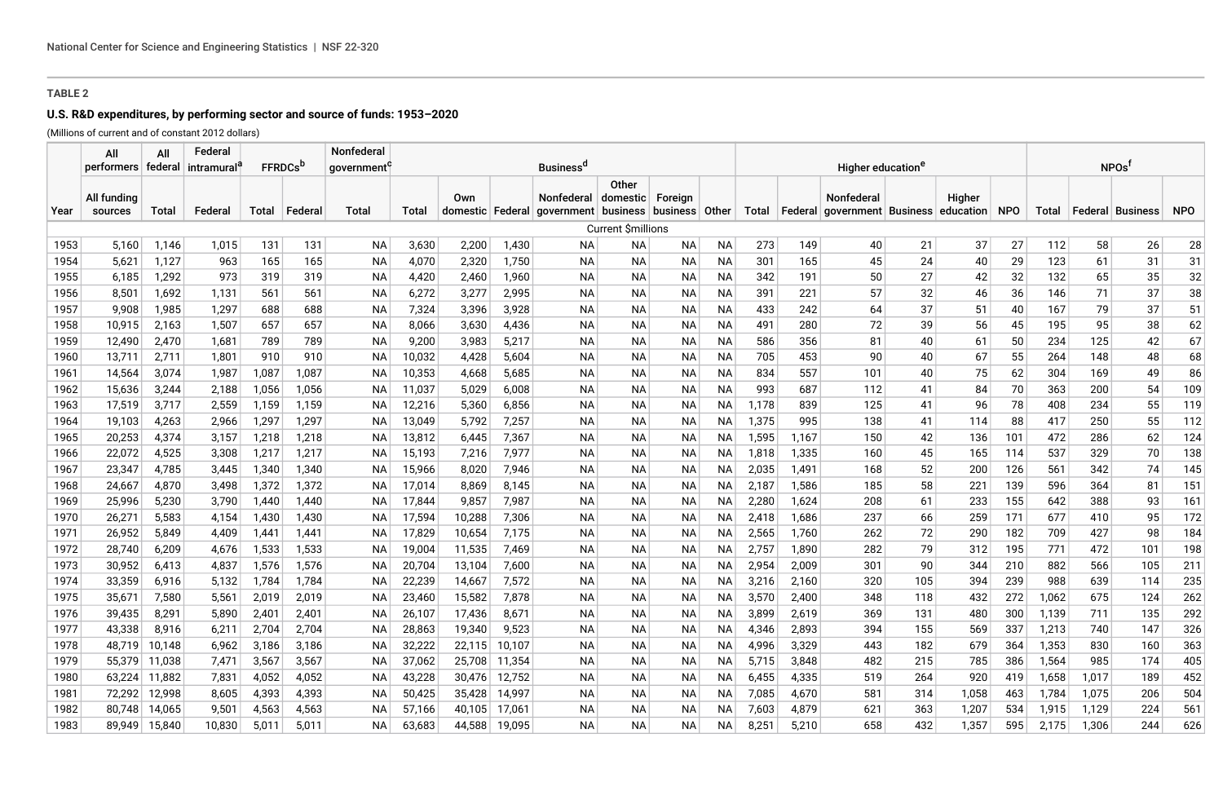# **U.S. R&D expenditures, by performing sector and source of funds: 1953–2020**

(Millions of current and of constant 2012 dollars)

|              | All                    | All            | Federal        |                |                 | Nonfederal              |                  |                  |                |                                                                          |                           |           |           |                |                |                                                                   |             |            |            |            |            |            |            |
|--------------|------------------------|----------------|----------------|----------------|-----------------|-------------------------|------------------|------------------|----------------|--------------------------------------------------------------------------|---------------------------|-----------|-----------|----------------|----------------|-------------------------------------------------------------------|-------------|------------|------------|------------|------------|------------|------------|
|              | performers   federal   |                | intramural     |                | <b>FFRDCs</b> b | qovernment <sup>4</sup> |                  |                  |                | <b>Business</b> <sup>a</sup>                                             |                           |           |           |                |                |                                                                   | <b>NPOs</b> |            |            |            |            |            |            |
| Year         | All funding<br>sources | Total          | Federal        | Total          | ∣ Federal       | Total                   | Total            | Own              |                | <b>Nonfederal</b><br>domestic Federal government business business Other | Other<br>domestic Foreign |           |           | Total          |                | Nonfederal<br>  Federal   government   Business   education   NPO |             | Higher     |            | Total      | ∣ Federal  | ∣ Business | <b>NPO</b> |
|              |                        |                |                |                |                 |                         |                  |                  |                |                                                                          | <b>Current Śmillions</b>  |           |           |                |                |                                                                   |             |            |            |            |            |            |            |
| 1953         | 5,160                  | 1,146          | 1,015          | 131            | 131             | <b>NA</b>               | 3,630            | 2,200            | 1,430          | ΝA                                                                       | NА                        | NА        | <b>NA</b> | 273            | 149            | 40                                                                | 21          | 37         | 27         | 112        | 58         | 26         | 28         |
| 1954         | 5,621                  | 1,127          | 963            | 165            | 165             | <b>NA</b>               | 4,070            | 2,320            | 1,750          | ΝA                                                                       | NА                        | NА        | NА        | 301            | 165            | 45                                                                | 24          | 40         | 29         | 123        | 61         | 31         | 31         |
| 1955         | 6,185                  | 1,292          | 973            | 319            | 319             | ΝA                      | 4,420            | 2,460            | 1,960          | ΝA                                                                       | NА                        | NА        | ΝA        | 342            | 191            | 50                                                                | 27          | 42         | 32         | 132        | 65         | 35         | 32         |
| 1956         | 8,501                  | 1,692          | 1,131          | 561            | 561             | NA                      | 6,272            | 3,277            | 2,995          | ΝA                                                                       | NА                        | NА        | ΝA        | 391            | 221            | 57                                                                | 32          | 46         | 36         | 146        | 71         | 37         | 38         |
| 1957         | 9,908                  | 1,985          | 1,297          | 688            | 688             | ΝA                      | 7,324            | 3,396            | 3,928          | ΝA                                                                       | NА                        | NА        | ΝA        | 433            | 242            | 64                                                                | 37          | 51         | 40         | 167        | 79         | 37         | 51         |
| 1958         | 10,915                 | 2,163          | 1,507          | 657            | 657             | ΝA                      | 8,066            | 3,630            | 4,436          | ΝA                                                                       | NА                        | NА        | ΝA        | 491            | 280            | 72                                                                | 39          | 56         | 45         | 195        | 95         | 38         | 62         |
| 1959         | 12,490                 | 2,470          | 1,681          | 789            | 789             | ΝA                      | 9,200            | 3,983            | 5,217          | ΝA                                                                       | <b>NA</b>                 | NА        | ΝA        | 586            | 356            | 81                                                                | 40          | 61         | 50         | 234        | 125        | 42         | 67         |
| 1960         | 13,711                 | 2,711          | 1,801          | 910            | 910             | <b>NA</b>               | 10,032           | 4,428            | 5,604          | ΝA                                                                       | <b>NA</b>                 | NА        | ΝA        | 705            | 453            | 90                                                                | 40          | 67         | 55         | 264        | 148        | 48         | 68         |
| 1961         | 14,564                 | 3,074          | 1,987          | 1,087          | 1,087           | <b>NA</b>               | 10,353           | 4,668            | 5,685          | ΝA                                                                       | <b>NA</b>                 | <b>NA</b> | ΝA        | 834            | 557            | 101                                                               | 40          | 75         | 62         | 304        | 169        | 49         | 86         |
| 1962         | 15,636                 | 3,244          | 2,188          | 1,056          | 1,056           | <b>NA</b>               | 11,037           | 5,029            | 6,008          | ΝA                                                                       | <b>NA</b>                 | NА        | ΝA        | 993            | 687            | 112                                                               | 41          | 84         | 70         | 363        | 200        | 54         | 109        |
| 1963         | 17,519                 | 3,717          | 2,559          | 1,159          | 1,159           | <b>NA</b>               | 12,216           | 5,360            | 6,856          | ΝA                                                                       | <b>NA</b>                 | NА        | NА        | 1,178          | 839            | 125                                                               | 41          | 96         | 78         | 408        | 234        | 55         | 119        |
| 1964         | 19,103                 | 4,263          | 2,966          | 1,297          | 1,297           | <b>NA</b>               | 13,049           | 5,792            | 7,257          | ΝA                                                                       | <b>NA</b>                 | NА        | NА        | 1,375          | 995            | 138                                                               | 41          | 114        | 88         | 417        | 250        | 55         | 112        |
| 1965         | 20,253                 | 4,374          | 3,157          | 1,218          | 1,218           | <b>NA</b>               | 13,812           | 6.445            | 7,367          | ΝA                                                                       | <b>NA</b>                 | NA.       | <b>NA</b> | 1,595          | 1,167          | 150                                                               | 42          | 136        | 101        | 472        | 286        | 62         | 124        |
| 1966         | 22,072                 | 4,525          | 3,308          | 1,217          | 1,217           | ΝA                      | 15,193           | 7,216            | 7,977          | ΝA                                                                       | NА                        | ΝA        | NA.       | 1,818          | 1,335          | 160                                                               | 45          | 165        | 114        | 537        | 329        | 70         | 138        |
| 1967         | 23,347                 | 4,785          | 3,445          | 1,340          | 1,340           | ΝA                      | 15,966           | 8,020            | 7,946          | ΝA                                                                       | NА                        | NА        | ΝA        | 2,035          | 1,491          | 168                                                               | 52          | 200        | 126        | 561        | 342        | 74         | 145        |
| 1968         | 24,667                 | 4,870          | 3,498          | 1,372          | 1,372           | ΝA                      | 17,014           | 8,869            | 8,145          | ΝA                                                                       | NА                        | NА        | NА        | 2,187          | 1,586          | 185                                                               | 58          | 221        | 139        | 596        | 364        | 81         | 151        |
| 1969         | 25,996                 | 5,230          | 3,790          | 1,440          | 1,440           | NA                      | 17,844           | 9,857            | 7,987          | ΝA                                                                       | NА                        | NА        | ΝA        | 2,280          | 1,624          | 208                                                               | 61          | 233        | 155        | 642        | 388        | 93         | 161        |
| 1970         | 26,271                 | 5,583          | 4,154          | 1,430          | 1,430           | ΝA                      | 17,594           | 10,288           | 7,306          | ΝA                                                                       | NА                        | ΝA        | NA        | 2,418          | 1,686          | 237                                                               | 66          | 259        | 171        | 677        | 410        | 95         | 172        |
| 1971<br>1972 | 26,952                 | 5,849          | 4,409          | 1,441          | 1,441           | ΝA                      | 17,829           | 10,654           | 7,175          | ΝA<br>ΝA                                                                 | NА<br><b>NA</b>           | NА        | ΝA        | 2,565          | 1,760          | 262<br>282                                                        | 72<br>79    | 290        | 182        | 709<br>771 | 427<br>472 | 98         | 184        |
| 1973         | 28,740<br>30,952       | 6,209<br>6,413 | 4,676<br>4,837 | 1,533<br>1,576 | 1,533<br>1,576  | ΝA<br>ΝA                | 19,004<br>20,704 | 11,535<br>13,104 | 7,469<br>7,600 | ΝA                                                                       | <b>NA</b>                 | NА<br>NА  | ΝA<br>ΝA  | 2,757<br>2,954 | 1,890<br>2,009 | 301                                                               | 90          | 312<br>344 | 195<br>210 | 882        | 566        | 101<br>105 | 198<br>211 |
| 1974         | 33,359                 | 6,916          | 5,132          | 1,784          | 1,784           | ΝA                      | 22,239           | 14,667           | 7,572          | ΝA                                                                       | <b>NA</b>                 | NА        | NА        | 3,216          | 2,160          | 320                                                               | 105         | 394        | 239        | 988        | 639        | 114        | 235        |
| 1975         | 35,671                 | 7,580          | 5,561          | 2,019          | 2,019           | <b>NA</b>               | 23,460           | 15,582           | 7,878          | ΝA                                                                       | NА                        | NА        | NА        | 3,570          | 2,400          | 348                                                               | 118         | 432        | 272        | 1,062      | 675        | 124        | 262        |
| 1976         | 39,435                 | 8,291          | 5,890          | 2,401          | 2,401           | <b>NA</b>               | 26,107           | 17,436           | 8,671          | ΝA                                                                       | <b>NA</b>                 | NА        | NА        | 3,899          | 2,619          | 369                                                               | 131         | 480        | 300        | 1,139      | 711        | 135        | 292        |
| 1977         | 43,338                 | 8,916          | 6,211          | 2,704          | 2,704           | <b>NA</b>               | 28,863           | 19,340           | 9,523          | ΝA                                                                       | <b>NA</b>                 | NА        | NА        | 4,346          | 2,893          | 394                                                               | 155         | 569        | 337        | 1,213      | 740        | 147        | 326        |
| 1978         | 48.719                 | 10,148         | 6,962          | 3,186          | 3,186           | <b>NA</b>               | 32,222           | 22,115           | 10,107         | ΝA                                                                       | <b>NA</b>                 | NА        | <b>NA</b> | 4,996          | 3,329          | 443                                                               | 182         | 679        | 364        | 1,353      | 830        | 160        | 363        |
| 1979         |                        | 55,379 11,038  | 7,471          | 3,567          | 3,567           | ΝA                      | 37,062           | 25,708           | 11,354         | ΝA                                                                       | <b>NA</b>                 | NA        | <b>NA</b> | 5,715          | 3,848          | 482                                                               | 215         | 785        | 386        | 1,564      | 985        | 174        | 405        |
| 1980         |                        | 63,224 11,882  | 7,831          | 4,052          | 4,052           | ΝA                      | 43,228           | 30,476           | 12,752         | ΝA                                                                       | <b>NA</b>                 | NA        | NА        | 6,455          | 4,335          | 519                                                               | 264         | 920        | 419        | 1,658      | 1,017      | 189        | 452        |
| 1981         | 72.292                 | 12,998         | 8,605          | 4,393          | 4,393           | ΝA                      | 50,425           | 35,428           | 14,997         | ΝA                                                                       | <b>NA</b>                 | NA        | NA.       | 7,085          | 4,670          | 581                                                               | 314         | 1,058      | 463        | 1,784      | 1,075      | 206        | 504        |
| 1982         | 80.748                 | 14,065         | 9,501          | 4,563          | 4,563           | <b>NA</b>               | 57,166           | 40,105           | 17,061         | ΝA                                                                       | <b>NA</b>                 | NA        | ΝA        | 7,603          | 4,879          | 621                                                               | 363         | 1,207      | 534        | 1,915      | 1,129      | 224        | 561        |
| 1983         | 89.949                 | 15,840         | 10,830         | 5,011          | 5.011           | <b>NA</b>               | 63,683           | 44,588           | 19,095         | ΝA                                                                       | <b>NA</b>                 | <b>NA</b> | NA.       | 8,251          | 5,210          | 658                                                               | 432         | 1,357      | 595        | 2,175      | 1,306      | 244        | 626        |
|              |                        |                |                |                |                 |                         |                  |                  |                |                                                                          |                           |           |           |                |                |                                                                   |             |            |            |            |            |            |            |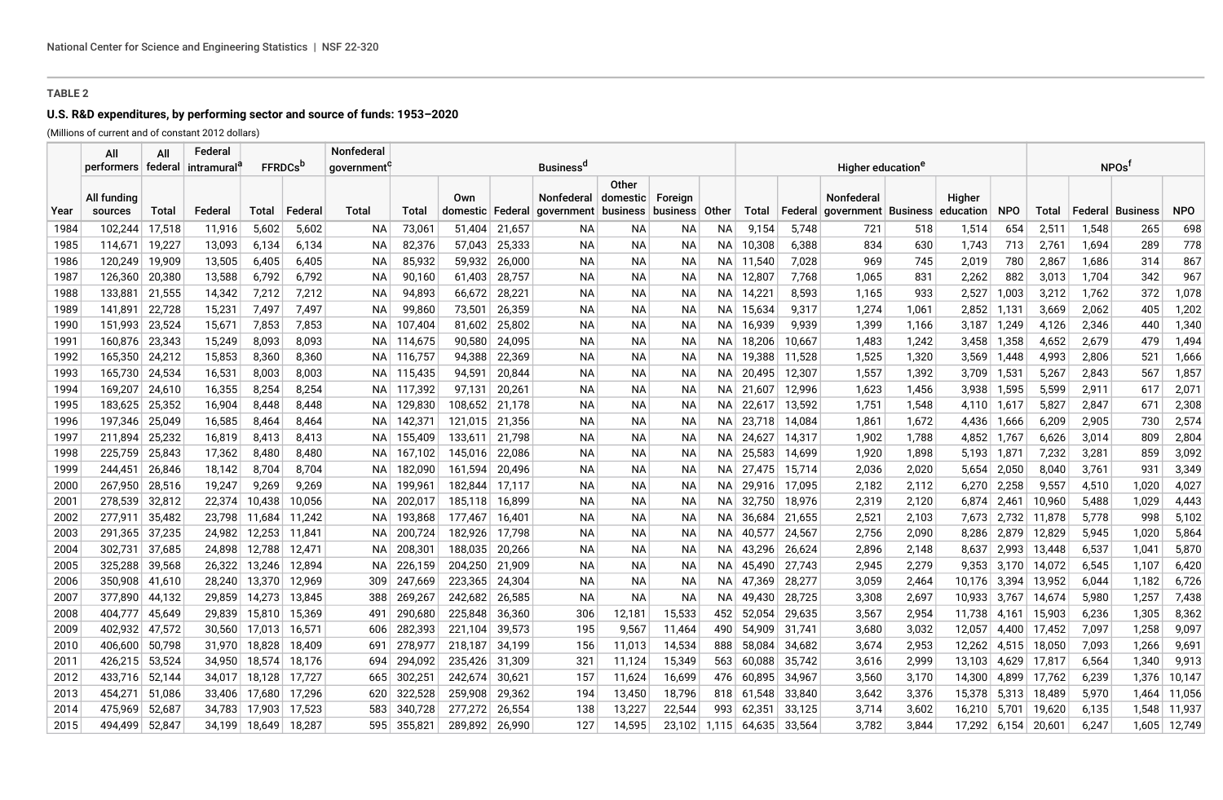# **U.S. R&D expenditures, by performing sector and source of funds: 1953–2020**

(Millions of current and of constant 2012 dollars) Federal Tradental

|      | All<br>performers   federal   intramural' | All    | Federal |        | <b>FFRDCs</b> <sup>D</sup> | Nonfederal<br><b>Business</b> <sup>a</sup><br>government' |         |                           |        |                                                          |           |           |           |                |         | Higher education <sup>e</sup>     |       | NPOs <sup>1</sup>   |             |        |       |                  |              |
|------|-------------------------------------------|--------|---------|--------|----------------------------|-----------------------------------------------------------|---------|---------------------------|--------|----------------------------------------------------------|-----------|-----------|-----------|----------------|---------|-----------------------------------|-------|---------------------|-------------|--------|-------|------------------|--------------|
| Year | All fundina<br>sources                    | Total  | Federal | Total  | Federal                    | Total                                                     | Total   | Own<br>domestic   Federal |        | Nonfederal   domestic   Foreign<br>qovernment   business | Other     | business  | Other     | Total          | Federal | Nonfederal<br>qovernment Business |       | Higher<br>education | <b>NPO</b>  | Total  |       | Federal Business | <b>NPO</b>   |
| 1984 | 102,244                                   | 17,518 | 11,916  | 5,602  | 5,602                      | <b>NA</b>                                                 | 73,061  | 51.404                    | 21,657 | NA.                                                      | NA        | NA        | <b>NA</b> | 9,154          | 5,748   | 721                               | 518   | 1,514               | 654         | 2,511  | 1,548 | 265              | 698          |
| 1985 | 114,671                                   | 19,227 | 13,093  | 6,134  | 6,134                      | ΝA                                                        | 82,376  | 57,043                    | 25,333 | NA.                                                      | ΝA        | ΝA        | NA.       | 10,308         | 6,388   | 834                               | 630   | 1,743               | 713         | 2,761  | 1,694 | 289              | 778          |
| 1986 | 120,249                                   | 19,909 | 13,505  | 6,405  | 6,405                      | ΝA                                                        | 85,932  | 59,932                    | 26,000 | NА                                                       | NA        | ΝA        | NA I      | 11,540         | 7,028   | 969                               | 745   | 2,019               | 780         | 2,867  | 1,686 | 314              | 867          |
| 1987 | 126,360                                   | 20,380 | 13,588  | 6,792  | 6,792                      | ΝA                                                        | 90,160  | 61,403                    | 28,757 | <b>NA</b>                                                | <b>NA</b> | NA        | NA.       | 12,807         | 7,768   | 1,065                             | 831   | 2,262               | 882         | 3,013  | 1,704 | 342              | 967          |
| 1988 | 133,881                                   | 21,555 | 14,342  | 7,212  | 7,212                      | ΝA                                                        | 94,893  | 66,672                    | 28,221 | ΝA                                                       | ΝA        | ΝA        | NA.       | 14,221         | 8,593   | 1,165                             | 933   | 2,527               | 1,003       | 3,212  | 1,762 | 372              | 1,078        |
| 1989 | 141,891                                   | 22,728 | 15,231  | 7,497  | 7,497                      | ΝA                                                        | 99,860  | 73,501                    | 26,359 | <b>NA</b>                                                | NA        | ΝA        | NA        | 15,634         | 9,317   | 1,274                             | 1,061 | 2,852 1,131         |             | 3,669  | 2,062 | 405              | 1,202        |
| 1990 | 151,993                                   | 23,524 | 15,671  | 7,853  | 7,853                      | ΝA                                                        | 107,404 | 81,602                    | 25,802 | ΝA                                                       | ΝA        | NA        | NA.       | 16,939         | 9,939   | 1,399                             | 1,166 | $3,187$ 1,249       |             | 4,126  | 2,346 | 440              | 1,340        |
| 1991 | 160,876                                   | 23,343 | 15,249  | 8,093  | 8,093                      | ΝA                                                        | 114,675 | 90,580                    | 24,095 | <b>NA</b>                                                | <b>NA</b> | <b>NA</b> | NA        | 18,206         | 10,667  | 1,483                             | 1,242 | 3,458               | 1,358       | 4,652  | 2,679 | 479              | 1,494        |
| 1992 | 165,350                                   | 24,212 | 15,853  | 8,360  | 8,360                      | ΝA                                                        | 116,757 | 94,388                    | 22,369 | ΝA                                                       | <b>NA</b> | NA        | NA.       | 19,388         | 11,528  | 1,525                             | 1,320 |                     | 3,569 1,448 | 4.993  | 2,806 | 521              | 1,666        |
| 1993 | 165,730                                   | 24,534 | 16,531  | 8,003  | 8,003                      | ΝA                                                        | 115,435 | 94,591                    | 20,844 | ΝA                                                       | NA        | NA        | NA.       | 20,495         | 12,307  | 1,557                             | 1,392 | 3,709 1,531         |             | 5,267  | 2,843 | 567              | 1,857        |
| 1994 | 169,207                                   | 24,610 | 16,355  | 8,254  | 8,254                      | ΝA                                                        | 117,392 | 97,131                    | 20,261 | <b>NA</b>                                                | NA        | ΝA        | NA        | 21,607         | 12,996  | 1,623                             | 1,456 | 3,938 1,595         |             | 5,599  | 2,911 | 617              | 2,071        |
| 1995 | 183,625                                   | 25,352 | 16,904  | 8,448  | 8,448                      | ΝA                                                        | 129,830 | 108,652 21,178            |        | <b>NA</b>                                                | <b>NA</b> | NA        | NA I      | 22,617         | 13,592  | 1,751                             | 1,548 | 4,110   1,617       |             | 5,827  | 2,847 | 671              | 2,308        |
| 1996 | 197,346                                   | 25,049 | 16,585  | 8,464  | 8,464                      | ΝA                                                        | 142,37' | 121,015 21,356            |        | ΝA                                                       | ΝA        | NA.       | NA I      | 23,718         | 14,084  | 1,861                             | 1,672 |                     | 4,436 1,666 | 6,209  | 2,905 | 730              | 2,574        |
| 1997 | 211,894                                   | 25,232 | 16,819  | 8,413  | 8,413                      | ΝA                                                        | 155,409 | 133,611                   | 21,798 | <b>NA</b>                                                | NA        | NA        | NA l      | 24,627         | 14,317  | 1,902                             | 1,788 | 4,852 1,767         |             | 6,626  | 3,014 | 809              | 2,804        |
| 1998 | 225,759                                   | 25,843 | 17,362  | 8,480  | 8,480                      | ΝA                                                        | 167,102 | 145,016                   | 22,086 | ΝA                                                       | <b>NA</b> | NA        | NA I      | 25,583         | 14,699  | 1,920                             | 1,898 | 5,193 1,871         |             | 7,232  | 3,281 | 859              | 3,092        |
| 1999 | 244,451                                   | 26,846 | 18,142  | 8,704  | 8,704                      | ΝA                                                        | 182,090 | 161,594                   | 20,496 | ΝA                                                       | ΝA        | NA.       | NA I      | 27,475         | 15,714  | 2,036                             | 2,020 | 5,654               | 2,050       | 8,040  | 3,761 | 931              | 3,349        |
| 2000 | 267,950                                   | 28,516 | 19,247  | 9,269  | 9,269                      | ΝA                                                        | 199,961 | 182,844                   | 17,117 | NА                                                       | ΝA        | ΝA        | NA.       | 29,916         | 17,095  | 2,182                             | 2,112 | 6,270               | 2,258       | 9,557  | 4,510 | 1,020            | 4,027        |
| 2001 | 278,539                                   | 32,812 | 22,374  | 10,438 | 10,056                     | ΝA                                                        | 202,017 | 185,118                   | 16.899 | ΝA                                                       | <b>NA</b> | NA        | NA I      | 32,750         | 18,976  | 2,319                             | 2,120 | 6.874               | 2,461       | 10,960 | 5,488 | 1,029            | 4,443        |
| 2002 | 277,911                                   | 35,482 | 23,798  | 11,684 | 11,242                     | ΝA                                                        | 193,868 | 177,467                   | 16,401 | ΝA                                                       | ΝA        | NA.       | NA I      | 36,684         | 21,655  | 2,521                             | 2,103 |                     | 7,673 2,732 | 11,878 | 5,778 | 998              | 5,102        |
| 2003 | 291.365                                   | 37,235 | 24,982  | 12,253 | 11.841                     | ΝA                                                        | 200,724 | 182,926                   | 17.798 | <b>NA</b>                                                | <b>NA</b> | NA        | NA I      | 40,577         | 24,567  | 2,756                             | 2,090 |                     | 8,286 2,879 | 12.829 | 5,945 | 1,020            | 5,864        |
| 2004 | 302,731                                   | 37,685 | 24,898  | 12,788 | 12,471                     | ΝA                                                        | 208,30  | 188,035                   | 20,266 | ΝA                                                       | <b>NA</b> | NA        | NA I      | 43,296         | 26,624  | 2,896                             | 2,148 | 8,637               | 2,993       | 13,448 | 6,537 | 1,041            | 5,870        |
| 2005 | 325,288                                   | 39,568 | 26,322  | 13,246 | 12,894                     | ΝA                                                        | 226,159 | 204,250                   | 21,909 | NА                                                       | <b>NA</b> | ΝA        | NA l      | 45,490         | 27,743  | 2,945                             | 2,279 |                     | 9,353 3,170 | 14,072 | 6,545 | 1,107            | 6,420        |
| 2006 | 350,908                                   | 41,610 | 28,240  | 13,370 | 12,969                     | 309                                                       | 247,669 | 223,365                   | 24,304 | <b>NA</b>                                                | <b>NA</b> | NA        | NA I      | 47,369         | 28,277  | 3,059                             | 2,464 | 10,176 3,394        |             | 13,952 | 6,044 | 1,182            | 6,726        |
| 2007 | 377,890                                   | 44,132 | 29,859  | 14,273 | 13,845                     | 388                                                       | 269,267 | 242,682                   | 26,585 | ΝA                                                       | <b>NA</b> | <b>NA</b> | NA.       | 49.430         | 28,725  | 3,308                             | 2,697 | 10,933 3,767        |             | 14,674 | 5,980 | 1,257            | 7,438        |
| 2008 | 404,777                                   | 45,649 | 29,839  | 15,810 | 15,369                     | 491                                                       | 290,680 | 225,848                   | 36,360 | 306                                                      | 12,181    | 15,533    | 452       | 52,054         | 29,635  | 3,567                             | 2,954 | 11,738 4,161        |             | 15,903 | 6,236 | 1,305            | 8,362        |
| 2009 | 402,932                                   | 47,572 | 30,560  | 17,013 | 16,571                     | 606                                                       | 282,393 | 221,104                   | 39,573 | 195                                                      | 9,567     | 11,464    | 490       | 54.909         | 31.741  | 3,680                             | 3,032 | 12,057 4,400        |             | 17.452 | 7,097 | 1,258            | 9,097        |
| 2010 | 406,600                                   | 50,798 | 31,970  | 18,828 | 18,409                     | 691                                                       | 278,977 | 218,187                   | 34,199 | 156                                                      | 11,013    | 14,534    | 888       | 58,084         | 34,682  | 3,674                             | 2,953 | 12,262 4,515        |             | 18,050 | 7,093 | 1,266            | 9,691        |
| 2011 | 426,215                                   | 53,524 | 34,950  | 18,574 | 18,176                     | 694                                                       | 294,092 | 235,426                   | 31,309 | 321                                                      | 11,124    | 15,349    | 563       | 60,088         | 35,742  | 3,616                             | 2,999 | 13,103              | 4,629       | 17,817 | 6,564 | 1,340            | 9,913        |
| 2012 | 433,716                                   | 52,144 | 34,017  | 18,128 | 17,727                     | 665                                                       | 302,25  | 242,674                   | 30,621 | 157                                                      | 11,624    | 16,699    |           | 476 60,895     | 34,967  | 3,560                             | 3,170 | 14,300              | 4,899       | 17,762 | 6,239 | 1,376            | 10,147       |
| 2013 | 454,271                                   | 51,086 | 33,406  | 17,680 | 17,296                     | 620                                                       | 322,528 | 259,908                   | 29,362 | 194                                                      | 13,450    | 18,796    | 818       | 61,548         | 33,840  | 3,642                             | 3,376 | 15,378 5,313        |             | 18,489 | 5,970 | 1,464            | 11,056       |
| 2014 | 475,969                                   | 52,687 | 34,783  | 17,903 | 17,523                     | 583                                                       | 340,728 | 277,272                   | 26,554 | 138                                                      | 13,227    | 22,544    | 993       | 62,351         | 33,125  | 3,714                             | 3,602 | 16,210              | 5,701       | 19,620 | 6,135 | 1,548            | 11,937       |
| 2015 | 494.499                                   | 52,847 | 34,199  | 18,649 | 18.287                     | 595                                                       | 355,821 | 289,892 26,990            |        | 127                                                      | 14,595    | 23,102    |           | $1,115$ 64,635 | 33,564  | 3.782                             | 3,844 | 17,292 6,154        |             | 20,601 | 6,247 |                  | 1,605 12,749 |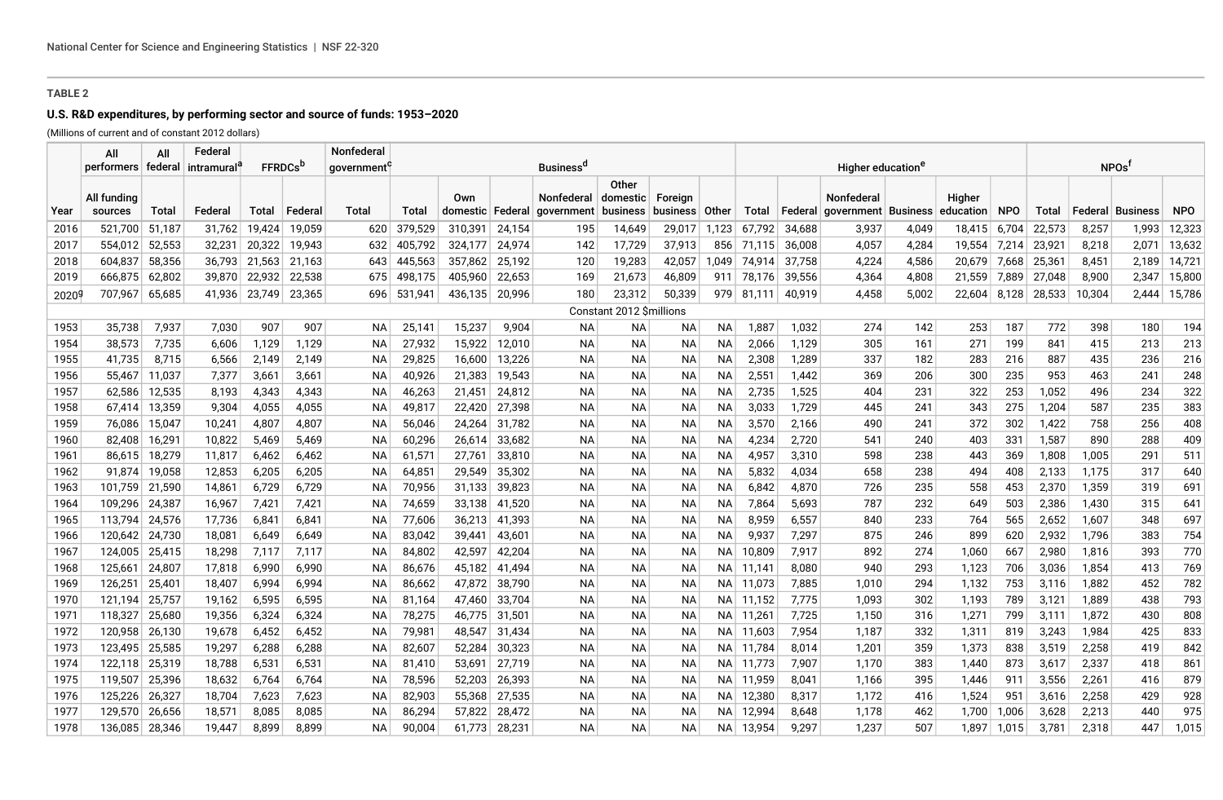# **U.S. R&D expenditures, by performing sector and source of funds: 1953–2020**

(Millions of current and of constant 2012 dollars)

|      | All                  | All    | Federal       |                            |         | Nonfederal |         |                  |        |                             |                           |           |           |            |        |                                 |       |                   |            |        |        |                    |            |
|------|----------------------|--------|---------------|----------------------------|---------|------------|---------|------------------|--------|-----------------------------|---------------------------|-----------|-----------|------------|--------|---------------------------------|-------|-------------------|------------|--------|--------|--------------------|------------|
|      | performers   federal |        | ∣ intramural' | <b>FFRDCs</b> <sup>p</sup> |         | government |         |                  |        | <b>Business<sup>a</sup></b> |                           |           |           |            |        | Higher education <sup>e</sup>   |       | NPOs <sup>1</sup> |            |        |        |                    |            |
|      | All funding          |        |               |                            |         |            |         | Own              |        | <b>Nonfederal</b>           | Other<br>domestic Foreign |           |           |            |        | Nonfederal                      |       | <b>Higher</b>     |            |        |        |                    |            |
| Year | sources              | Total  | Federal       | Total                      | Federal | Total      | Total   | domestic Federal |        | qovernment                  | business   business       |           | Other     | Total      |        | Federal   government   Business |       | education         | <b>NPO</b> | Total  |        | Federal   Business | <b>NPO</b> |
| 2016 | 521,700              | 51,187 | 31,762        | 19,424                     | 19,059  | 620        | 379,529 | 310,391          | 24,154 | 195                         | 14,649                    | 29,017    | 1,123     | 67,792     | 34,688 | 3,937                           | 4,049 | 18,415            | 6,704      | 22,573 | 8,257  | 1,993              | 12,323     |
| 2017 | 554,012              | 52,553 | 32,231        | 20,322                     | 19,943  | 632        | 405,792 | 324,177          | 24,974 | 142                         | 17,729                    | 37,913    |           | 856 71,115 | 36,008 | 4,057                           | 4,284 | 19,554            | 7,214      | 23,921 | 8,218  | 2,071              | 13,632     |
| 2018 | 604,837              | 58,356 | 36,793        | 21,563                     | 21,163  | 643        | 445,563 | 357,862          | 25,192 | 120                         | 19,283                    | 42,057    | 1,049     | 74.914     | 37,758 | 4,224                           | 4,586 | 20,679            | 7,668      | 25,361 | 8,451  | 2,189              | 14,721     |
| 2019 | 666,875              | 62,802 | 39,870        | 22,932                     | 22,538  | 675        | 498,175 | 405,960          | 22,653 | 169                         | 21,673                    | 46,809    | 911       | 78,176     | 39,556 | 4,364                           | 4,808 | 21,559            | 7,889      | 27,048 | 8,900  | 2,347              | 15,800     |
| 2020 | 707,967              | 65,685 | 41.936        | 23,749                     | 23,365  | 696        | 531.941 | 436,135          | 20,996 | 180                         | 23,312                    | 50,339    | 979       | 81.111     | 40.919 | 4.458                           | 5,002 | 22,604            | 8,128      | 28,533 | 10,304 | 2.444              | 15,786     |
|      |                      |        |               |                            |         |            |         |                  |        |                             | Constant 2012 \$millions  |           |           |            |        |                                 |       |                   |            |        |        |                    |            |
| 1953 | 35,738               | 7,937  | 7,030         | 907                        | 907     | NА         | 25,141  | 15,237           | 9,904  | <b>NA</b>                   | NА                        | ΝA        | NА        | 1,887      | 1,032  | 274                             | 142   | 253               | 187        | 772    | 398    | 180                | 194        |
| 1954 | 38,573               | 7,735  | 6,606         | 1,129                      | 1,129   | <b>NA</b>  | 27,932  | 15,922           | 12,010 | ΝA                          | NA.                       | ΝA        | NА        | 2,066      | 1,129  | 305                             | 161   | 271               | 199        | 841    | 415    | 213                | 213        |
| 1955 | 41,735               | 8,715  | 6,566         | 2,149                      | 2,149   | <b>NA</b>  | 29,825  | 16,600           | 13,226 | ΝA                          | NА                        | NA        | NА        | 2,308      | 1,289  | 337                             | 182   | 283               | 216        | 887    | 435    | 236                | 216        |
| 1956 | 55,467               | 11,037 | 7,377         | 3,661                      | 3,661   | <b>NA</b>  | 40,926  | 21,383           | 19,543 | ΝA                          | NА                        | NA        | NА        | 2,551      | 1,442  | 369                             | 206   | 300               | 235        | 953    | 463    | 241                | 248        |
| 1957 | 62,586               | 12,535 | 8,193         | 4,343                      | 4,343   | <b>NA</b>  | 46,263  | 21,451           | 24,812 | ΝA                          | NА                        | NA        | <b>NA</b> | 2,735      | 1,525  | 404                             | 231   | 322               | 253        | 1.052  | 496    | 234                | 322        |
| 1958 | 67,414               | 13,359 | 9,304         | 4,055                      | 4,055   | NA.        | 49,817  | 22,420           | 27,398 | ΝA                          | NА                        | ΝA        | NA        | 3,033      | 1,729  | 445                             | 241   | 343               | 275        | 1,204  | 587    | 235                | 383        |
| 1959 | 76,086               | 15,047 | 10,241        | 4,807                      | 4,807   | <b>NA</b>  | 56,046  | 24,264           | 31,782 | NA                          | NА                        | NA        | ΝA        | 3,570      | 2,166  | 490                             | 241   | 372               | 302        | 1,422  | 758    | 256                | 408        |
| 1960 | 82,408               | 16,291 | 10,822        | 5,469                      | 5,469   | <b>NA</b>  | 60,296  | 26,614           | 33,682 | ΝA                          | NА                        | NA        | NА        | 4,234      | 2,720  | 541                             | 240   | 403               | 331        | 1,587  | 890    | 288                | 409        |
| 1961 | 86,615               | 18,279 | 11,817        | 6,462                      | 6,462   | <b>NA</b>  | 61,571  | 27,761           | 33,810 | ΝA                          | <b>NA</b>                 | <b>NA</b> | NА        | 4,957      | 3,310  | 598                             | 238   | 443               | 369        | 1,808  | 1,005  | 291                | 511        |
| 1962 | 91,874               | 19,058 | 12,853        | 6,205                      | 6,205   | <b>NA</b>  | 64,851  | 29,549           | 35,302 | ΝA                          | <b>NA</b>                 | <b>NA</b> | NА        | 5,832      | 4,034  | 658                             | 238   | 494               | 408        | 2,133  | 1,175  | 317                | 640        |
| 1963 | 101,759              | 21,590 | 14,861        | 6,729                      | 6,729   | NA         | 70,956  | 31,133           | 39,823 | ΝA                          | <b>NA</b>                 | <b>NA</b> | <b>NA</b> | 6,842      | 4,870  | 726                             | 235   | 558               | 453        | 2,370  | 1,359  | 319                | 691        |
| 1964 | 109,296              | 24,387 | 16,967        | 7,421                      | 7,421   | NA         | 74,659  | 33,138           | 41,520 | ΝA                          | <b>NA</b>                 | NA        | NА        | 7,864      | 5,693  | 787                             | 232   | 649               | 503        | 2,386  | 1,430  | 315                | 641        |
| 1965 | 113,794              | 24,576 | 17,736        | 6,841                      | 6,841   | ΝA         | 77,606  | 36,213           | 41,393 | ΝA                          | <b>NA</b>                 | NA        | NA.       | 8,959      | 6,557  | 840                             | 233   | 764               | 565        | 2,652  | 1,607  | 348                | 697        |
| 1966 | 120,642              | 24,730 | 18,081        | 6,649                      | 6,649   | <b>NA</b>  | 83,042  | 39,441           | 43,601 | ΝA                          | <b>NA</b>                 | NA        | <b>NA</b> | 9,937      | 7,297  | 875                             | 246   | 899               | 620        | 2,932  | 1,796  | 383                | 754        |
| 1967 | 124.005              | 25,415 | 18,298        | 7,117                      | 7,117   | <b>NA</b>  | 84,802  | 42,597           | 42,204 | ΝA                          | NA.                       | NA        | NA.       | 10,809     | 7,917  | 892                             | 274   | 1,060             | 667        | 2,980  | 1,816  | 393                | 770        |
| 1968 | 125,661              | 24,807 | 17,818        | 6,990                      | 6,990   | <b>NA</b>  | 86,676  | 45,182           | 41,494 | ΝA                          | NА                        | NA        |           | NA 11,141  | 8,080  | 940                             | 293   | 1,123             | 706        | 3,036  | 1,854  | 413                | 769        |
| 1969 | 126,251              | 25,401 | 18,407        | 6,994                      | 6,994   | ΝA         | 86,662  | 47,872           | 38,790 | NA                          | NA.                       | ΝA        |           | NA 11,073  | 7,885  | 1,010                           | 294   | 1,132             | 753        | 3,116  | 1,882  | 452                | 782        |
| 1970 | 121,194              | 25,757 | 19,162        | 6,595                      | 6,595   | <b>NA</b>  | 81,164  | 47,460           | 33,704 | ΝA                          | NA.                       | ΝA        |           | NA 11,152  | 7,775  | 1,093                           | 302   | 1,193             | 789        | 3,121  | 1,889  | 438                | 793        |
| 1971 | 118,327              | 25,680 | 19,356        | 6,324                      | 6,324   | <b>NA</b>  | 78,275  | 46,775           | 31,501 | ΝA                          | NA.                       | NA        |           | NA 11,261  | 7,725  | 1,150                           | 316   | 1,271             | 799        | 3,111  | 1,872  | 430                | 808        |
| 1972 | 120,958              | 26,130 | 19,678        | 6,452                      | 6,452   | <b>NA</b>  | 79,981  | 48,547           | 31,434 | ΝA                          | NA.                       | ΝA        |           | NA 11,603  | 7,954  | 1,187                           | 332   | 1,311             | 819        | 3,243  | 1,984  | 425                | 833        |
| 1973 | 123.495              | 25,585 | 19,297        | 6,288                      | 6,288   | <b>NA</b>  | 82,607  | 52.284           | 30,323 | ΝA                          | NA.                       | ΝA        |           | NA 11,784  | 8.014  | 1,201                           | 359   | 1,373             | 838        | 3,519  | 2,258  | 419                | 842        |
| 1974 | 122,118              | 25,319 | 18,788        | 6,531                      | 6,531   | ΝA         | 81,410  | 53,691           | 27,719 | ΝA                          | NА                        | NΑ        |           | NA 11,773  | 7,907  | 1,170                           | 383   | 1,440             | 873        | 3,617  | 2,337  | 418                | 861        |
| 1975 | 119,507              | 25,396 | 18,632        | 6,764                      | 6,764   | ΝA         | 78,596  | 52,203           | 26,393 | ΝA                          | NA.                       | NA        |           | NA 11,959  | 8,041  | 1,166                           | 395   | 1,446             | 911        | 3,556  | 2,261  | 416                | 879        |
| 1976 | 125,226              | 26,327 | 18,704        | 7,623                      | 7,623   | ΝA         | 82,903  | 55,368           | 27,535 | ΝA                          | NA.                       | ΝA        |           | NA 12,380  | 8,317  | 1,172                           | 416   | 1,524             | 951        | 3,616  | 2,258  | 429                | 928        |
| 1977 | 129.570              | 26,656 | 18,571        | 8,085                      | 8,085   | <b>NA</b>  | 86,294  | 57,822           | 28,472 | ΝA                          | NА                        | NA        | NA.       | 12,994     | 8,648  | 1,178                           | 462   | 1,700             | 1,006      | 3.628  | 2,213  | 440                | 975        |
| 1978 | 136.085              | 28,346 | 19.447        | 8.899                      | 8.899   | <b>NA</b>  | 90,004  | 61.773           | 28,231 | ΝA                          | NA                        | ΝA        | NA I      | 13,954     | 9.297  | 1.237                           | 507   | 1.897             | 1,015      | 3.781  | 2,318  | 447                | 1,015      |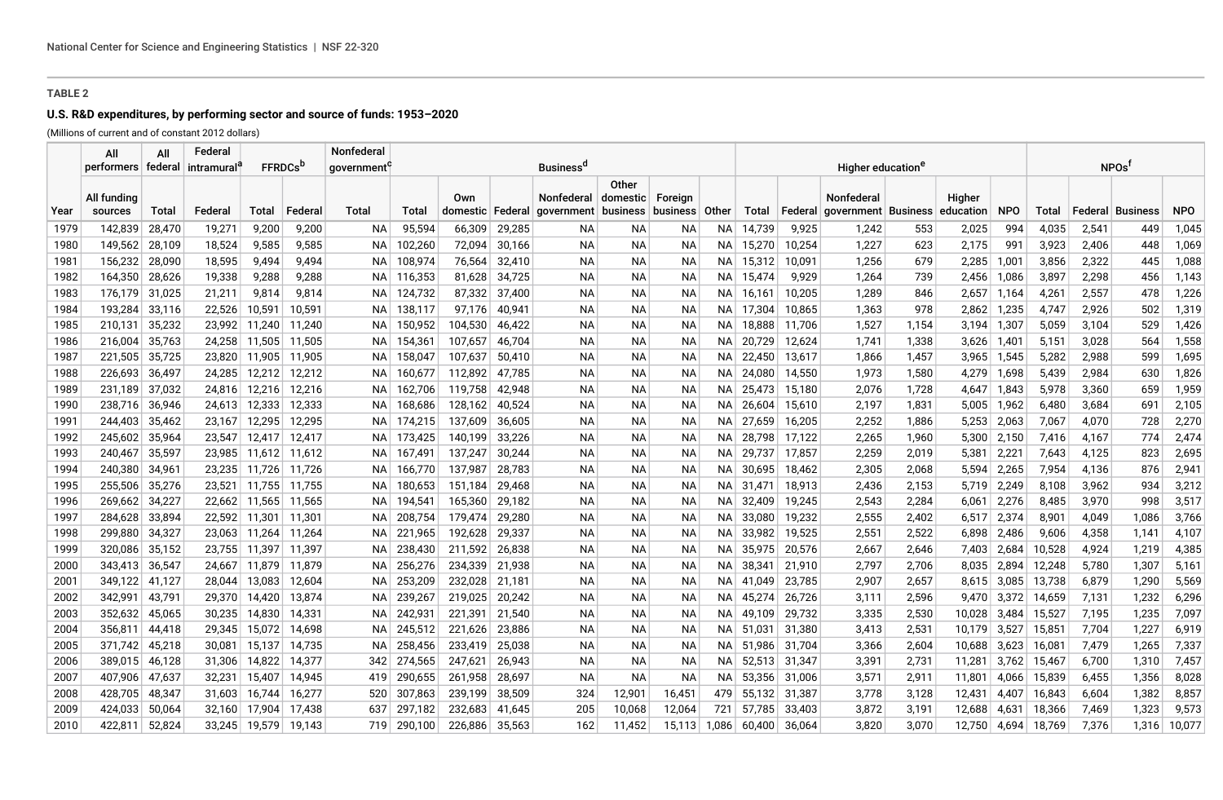# **U.S. R&D expenditures, by performing sector and source of funds: 1953–2020**

(Millions of current and of constant 2012 dollars) Federal Tradental

|      | All<br>performers   federal   intramural <sup>e</sup> | All    | Federal |                 | <b>FFRDCs</b> <sup>D</sup> | <b>Nonfederal</b><br>Business <sup>a</sup><br>government <sup>c</sup> |         |                           |        |                                                                     |           |           |       |                     |         | Higher education <sup>e</sup>         |       | NPOs <sup>1</sup>   |               |        |       |                  |            |
|------|-------------------------------------------------------|--------|---------|-----------------|----------------------------|-----------------------------------------------------------------------|---------|---------------------------|--------|---------------------------------------------------------------------|-----------|-----------|-------|---------------------|---------|---------------------------------------|-------|---------------------|---------------|--------|-------|------------------|------------|
| Year | All funding<br>sources                                | Total  | Federal | Total           | Federal                    | Total                                                                 | Total   | Own<br>domestic   Federal |        | Nonfederal   domestic   Foreign<br>qovernment   business   business | Other     |           | Other | Total               | Federal | Nonfederal<br>  government   Business |       | Higher<br>education | <b>NPO</b>    | Total  |       | Federal Business | <b>NPO</b> |
| 1979 | 142,839                                               | 28,470 | 19,271  | 9,200           | 9,200                      | NA.                                                                   | 95,594  | 66,309                    | 29,285 | NA.                                                                 | NА        | ΝA        |       | NA 14,739           | 9,925   | 1,242                                 | 553   | 2,025               | 994           | 4,035  | 2,541 | 449              | 1,045      |
| 1980 | 149,562                                               | 28,109 | 18,524  | 9,585           | 9,585                      | NA.                                                                   | 102,260 | 72,094                    | 30,166 | <b>NA</b>                                                           | <b>NA</b> | ΝA        |       | NA 15,270           | 10,254  | 1,227                                 | 623   | 2,175               | 991           | 3,923  | 2,406 | 448              | 1,069      |
| 1981 | 156,232                                               | 28,090 | 18,595  | 9,494           | 9,494                      | NA.                                                                   | 108,974 | 76,564                    | 32,410 | ΝA                                                                  | <b>NA</b> | ΝA        |       | NA 15,312           | 10,091  | 1,256                                 | 679   | 2,285               | 1,001         | 3,856  | 2,322 | 445              | 1,088      |
| 1982 | 164,350                                               | 28,626 | 19,338  | 9,288           | 9,288                      | NA.                                                                   | 116,353 | 81,628                    | 34,725 | <b>NA</b>                                                           | NА        | ΝA        |       | NA 15,474           | 9,929   | 1,264                                 | 739   | 2,456 1,086         |               | 3,897  | 2,298 | 456              | 1,143      |
| 1983 | 176.179                                               | 31,025 | 21,211  | 9,814           | 9,814                      | NA.                                                                   | 124,732 | 87,332                    | 37.400 | ΝA                                                                  | <b>NA</b> | ΝA        |       | NA 16,161           | 10,205  | 1,289                                 | 846   | $2,657$ 1,164       |               | 4,261  | 2,557 | 478              | 1,226      |
| 1984 | 193,284                                               | 33,116 | 22,526  | 10,591          | 10,591                     | NA.                                                                   | 138,117 | 97.176                    | 40,941 | ΝA                                                                  | NA.       | ΝA        |       | NA 17,304           | 10,865  | 1,363                                 | 978   | 2,862 1,235         |               | 4,747  | 2,926 | 502              | 1,319      |
| 1985 | 210,131                                               | 35,232 |         | 23,992 11,240   | 11,240                     | NA.                                                                   | 150,952 | 104,530                   | 46,422 | ΝA                                                                  | NА        | ΝA        |       | NA 18,888           | 11,706  | 1,527                                 | 1,154 | $3,194$ 1,307       |               | 5,059  | 3,104 | 529              | 1,426      |
| 1986 | 216,004                                               | 35,763 |         | 24,258   11,505 | 11,505                     | NA.                                                                   | 154,361 | 107,657                   | 46,704 | ΝA                                                                  | <b>NA</b> | NA        |       | NA 20,729           | 12,624  | 1,741                                 | 1,338 | 3,626 1,401         |               | 5,151  | 3,028 | 564              | 1,558      |
| 1987 | 221,505 35,725                                        |        |         | 23,820 11,905   | 11,905                     | NA.                                                                   | 158,047 | 107,637                   | 50,410 | ΝA                                                                  | NА        | ΝA        |       | NA 22,450           | 13,617  | 1,866                                 | 1,457 | 3,965 1,545         |               | 5,282  | 2,988 | 599              | 1,695      |
| 1988 | 226.693                                               | 36,497 | 24,285  | 12,212          | 12,212                     | NA.                                                                   | 160.677 | 112,892                   | 47,785 | ΝA                                                                  | NА        | ΝA        |       | NA 24.080           | 14,550  | 1,973                                 | 1,580 | 4,279               | 1,698         | 5.439  | 2,984 | 630              | 1,826      |
| 1989 | 231,189                                               | 37,032 |         | 24,816 12,216   | 12,216                     | NA.                                                                   | 162,706 | 119,758                   | 42,948 | ΝA                                                                  | NА        | ΝA        |       | NA 25,473           | 15,180  | 2,076                                 | 1,728 | 4,647 1,843         |               | 5,978  | 3,360 | 659              | 1,959      |
| 1990 | 238.716                                               | 36,946 | 24,613  | 12,333          | 12,333                     | NA.                                                                   | 168,686 | 128,162                   | 40,524 | ΝA                                                                  | NА        | ΝA        |       | NA 26.604           | 15,610  | 2,197                                 | 1,831 | 5,005 1,962         |               | 6.480  | 3,684 | 691              | 2,105      |
| 1991 | 244,403                                               | 35,462 | 23,167  | 12,295          | 12,295                     | NA.                                                                   | 174,215 | 137,609                   | 36,605 | NA                                                                  | ΝA        | ΝA        |       | NA 27,659           | 16,205  | 2,252                                 | 1,886 | 5,253               | 2,063         | 7,067  | 4,070 | 728              | 2,270      |
| 1992 | 245,602                                               | 35,964 |         | 23,547 12,417   | 12,417                     | NA.                                                                   | 173,425 | 140,199                   | 33,226 | ΝA                                                                  | NА        | ΝA        |       | NA 28,798           | 17,122  | 2,265                                 | 1,960 | 5,300 2,150         |               | 7,416  | 4,167 | 774              | 2,474      |
| 1993 | 240,467                                               | 35,597 |         |                 | 23,985   11,612   11,612   | NA.                                                                   | 167,491 | 137,247                   | 30,244 | ΝA                                                                  | ΝA        | ΝA        |       | NA 29,737           | 17,857  | 2,259                                 | 2,019 | $5,381$ 2,221       |               | 7,643  | 4,125 | 823              | 2,695      |
| 1994 | 240,380                                               | 34,961 | 23,235  | 11,726          | 11,726                     | NA.                                                                   | 166,770 | 137,987                   | 28,783 | ΝA                                                                  | NА        | ΝA        |       | NA 30,695           | 18,462  | 2,305                                 | 2,068 | 5,594               | 2,265         | 7,954  | 4,136 | 876              | 2,941      |
| 1995 | 255,506                                               | 35,276 |         |                 | 23,521   11,755   11,755   | NA.                                                                   | 180,653 | 151.184                   | 29,468 | ΝA                                                                  | NA        | ΝA        |       | NA 31.471           | 18,913  | 2,436                                 | 2,153 | 5.719               | 2,249         | 8,108  | 3,962 | 934              | 3,212      |
| 1996 | 269,662                                               | 34,227 |         |                 | 22,662 11,565 11,565       | NA.                                                                   | 194,541 | 165,360                   | 29,182 | ΝA                                                                  | ΝA        | ΝA        |       | NA 32,409           | 19,245  | 2,543                                 | 2,284 |                     | $6,061$ 2,276 | 8,485  | 3,970 | 998              | 3,517      |
| 1997 | 284,628                                               | 33,894 |         | 22,592 11,301   | 11,301                     | NA.                                                                   | 208,754 | 179,474                   | 29,280 | ΝA                                                                  | NА        | ΝA        |       | NA 33,080           | 19,232  | 2,555                                 | 2,402 | 6,517 2,374         |               | 8,901  | 4,049 | 1,086            | 3,766      |
| 1998 | 299.880                                               | 34,327 |         | 23,063 11,264   | 11,264                     | NA.                                                                   | 221,965 | 192,628                   | 29,337 | ΝA                                                                  | NA        | ΝA        |       | NA 33,982           | 19,525  | 2,551                                 | 2,522 |                     | 6,898 2,486   | 9,606  | 4,358 | 1,141            | 4,107      |
| 1999 | 320,086                                               | 35,152 |         | 23,755 11,397   | 11,397                     | NA.                                                                   | 238,430 | 211,592                   | 26,838 | ΝA                                                                  | NА        | ΝA        |       | NA 35,975           | 20,576  | 2,667                                 | 2,646 |                     | 7,403 2,684   | 10,528 | 4,924 | 1,219            | 4,385      |
| 2000 | 343.413                                               | 36,547 |         | 24.667 11.879   | 11.879                     | NA.                                                                   | 256,276 | 234,339                   | 21.938 | ΝA                                                                  | ΝA        | NA        |       | NA 38,341           | 21.910  | 2,797                                 | 2,706 | 8.035               | 2,894         | 12.248 | 5,780 | 1,307            | 5,161      |
| 2001 | 349,122                                               | 41,127 | 28,044  | 13,083          | 12,604                     | NA.                                                                   | 253,209 | 232,028                   | 21,181 | ΝA                                                                  | NА        | ΝA        |       | NA 41,049           | 23,785  | 2,907                                 | 2,657 |                     | 8,615 3,085   | 13,738 | 6,879 | 1,290            | 5,569      |
| 2002 | 342,991                                               | 43,791 | 29,370  | 14,420          | 13,874                     | NA.                                                                   | 239,267 | 219,025                   | 20,242 | ΝA                                                                  | NА        | ΝA        |       | NA 45,274           | 26,726  | 3,111                                 | 2,596 |                     | 9,470 3,372   | 14,659 | 7,131 | 1,232            | 6,296      |
| 2003 | 352,632                                               | 45,065 | 30,235  | 14,830          | 14,331                     | NA.                                                                   | 242,93' | 221.391                   | 21,540 | ΝA                                                                  | NА        | NA        |       | NA 49.109           | 29,732  | 3,335                                 | 2,530 | 10,028              | 3,484         | 15,527 | 7,195 | 1,235            | 7,097      |
| 2004 | 356,811                                               | 44,418 | 29,345  | 15,072          | 14,698                     | NA.                                                                   | 245,512 | 221,626                   | 23,886 | ΝA                                                                  | NА        | ΝA        |       | NA 51,031           | 31,380  | 3,413                                 | 2,531 | 10,179 3,527        |               | 15,851 | 7,704 | 1,227            | 6,919      |
| 2005 | 371.742                                               | 45,218 | 30.081  | 15,137          | 14.735                     | NA.                                                                   | 258,456 | 233.419                   | 25,038 | ΝA                                                                  | NA.       | NA        |       | NA 51,986           | 31,704  | 3,366                                 | 2,604 | 10,688 3,623        |               | 16,081 | 7,479 | 1,265            | 7,337      |
| 2006 | 389,015                                               | 46,128 | 31,306  | 14,822          | 14,377                     | 342                                                                   | 274,565 | 247,621                   | 26,943 | ΝA                                                                  | NA.       | ΝA        | NA I  | 52,513              | 31,347  | 3,391                                 | 2,731 | 11,281              | 3,762         | 15,467 | 6,700 | 1,310            | 7,457      |
| 2007 | 407.906                                               | 47,637 | 32.231  | 15,407          | 14,945                     | 419                                                                   | 290,655 | 261.958                   | 28,697 | ΝA                                                                  | <b>NA</b> | <b>NA</b> | NA I  | 53,356              | 31,006  | 3,571                                 | 2,911 | 11,801              | 4,066         | 15,839 | 6,455 | 1,356            | 8,028      |
| 2008 | 428,705                                               | 48,347 | 31,603  | 16,744          | 16,277                     | 520                                                                   | 307,863 | 239.199                   | 38,509 | 324                                                                 | 12,901    | 16,451    | 479   | 55,132              | 31,387  | 3,778                                 | 3,128 | 12,431              | 4,407         | 16,843 | 6,604 | 1,382            | 8,857      |
| 2009 | 424,033                                               | 50,064 | 32,160  | 17,904          | 17,438                     | 637                                                                   | 297,182 | 232,683                   | 41,645 | 205                                                                 | 10,068    | 12,064    | 721   | 57,785              | 33,403  | 3,872                                 | 3,191 | 12,688              | 4,631         | 18,366 | 7,469 | 1,323            | 9,573      |
| 2010 | 422,811                                               | 52,824 |         | 33,245 19,579   | 19.143                     | 719                                                                   | 290.100 | 226,886                   | 35,563 | 162                                                                 | 11,452    | 15,113    |       | $1.086 \mid 60.400$ | 36,064  | 3.820                                 | 3,070 | 12.750 4.694        |               | 18,769 | 7,376 | 1,316            | 10,077     |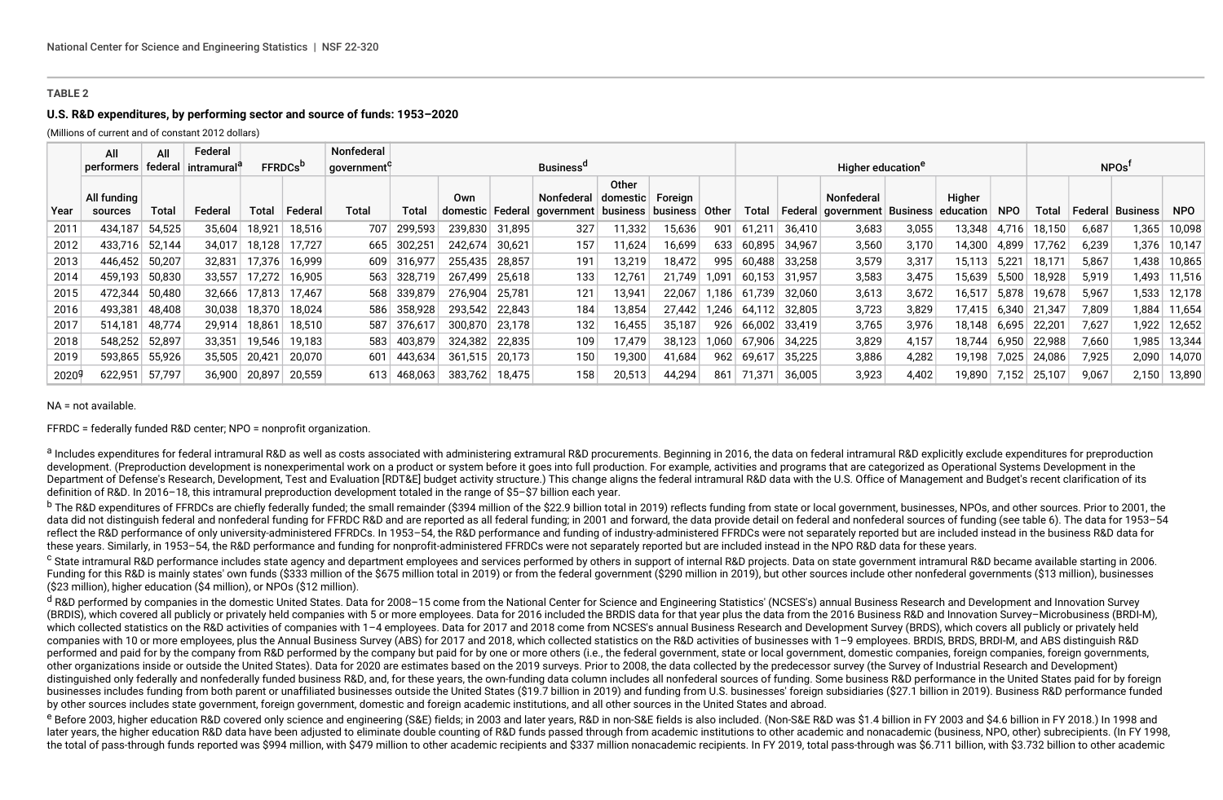### **U.S. R&D expenditures, by performing sector and source of funds: 1953–2020**

(Millions of current and of constant 2012 dollars)

|                   | All                    | All     | Federal    |        |                            | Nonfederal |         |                         |        |                                                        |        |          |       |        |         |                               |       |                              |            |        |         |                   |            |  |
|-------------------|------------------------|---------|------------|--------|----------------------------|------------|---------|-------------------------|--------|--------------------------------------------------------|--------|----------|-------|--------|---------|-------------------------------|-------|------------------------------|------------|--------|---------|-------------------|------------|--|
|                   | performers             | federal | intramural |        | <b>FFRDCs</b> <sup>D</sup> | qovernment |         |                         |        | <b>Business<sup>a</sup></b>                            |        |          |       |        |         | Higher education <sup>e</sup> |       |                              |            |        |         | NPOs <sup>t</sup> |            |  |
| Year              | All funding<br>sources | Total   | Federal    | Total  | Federal                    | Total      | Total   | Own<br>domestic Federal |        | Nonfederal domestic Foreign<br>  government   business | Other  | business | Other | Total  | Federal | Nonfederal<br>qovernment      |       | Higher<br>Business education | <b>NPO</b> | Total  | Federal | Business          | <b>NPO</b> |  |
| 2011              | 434,187                | 54,525  | 35,604     | 18,921 | 18,516                     | 707        | 299,593 | 239,830                 | 31,895 | 327                                                    | 11,332 | 15,636   | 901   | 61,211 | 36,410  | 3,683                         | 3,055 | 13,348                       | 4,716      | 18,150 | 6,687   | 1,365             | 10,098     |  |
| 2012              | 433,716                | 52,144  | 34,017     | 18,128 | 17,727                     | 665        | 302,251 | 242,674                 | 30,621 | 157                                                    | 11,624 | 16,699   | 633   | 60,895 | 34,967  | 3,560                         | 3,170 | 14,300                       | 4,899      | 17,762 | 6,239   | 1,376             | 10,147     |  |
| 2013              | 446.452                | 50,207  | 32,831     | 17,376 | 16.999                     | 609        | 316,977 | 255.435                 | 28.857 | 191                                                    | 13,219 | 18,472   | 995   | 60.488 | 33.258  | 3,579                         | 3,317 | 15,113                       | 5,221      | 18.171 | 5,867   | 1,438             | 10,865     |  |
| 2014              | 459,193                | 50,830  | 33,557     | 17,272 | 16,905                     | 563        | 328,719 | 267,499                 | 25,618 | 133                                                    | 12,761 | 21,749   | 1,091 | 60,153 | 31,957  | 3,583                         | 3,475 | 15,639                       | 5,500      | 18,928 | 5,919   | 1,493             | 11,516     |  |
| 2015              | 472,344                | 50,480  | 32,666     | 17,813 | 17.467                     | 568        | 339,879 | 276.904                 | 25.781 | 121                                                    | 13,941 | 22.067   | 1.186 | 61.739 | 32,060  | 3,613                         | 3,672 | 16,517                       | 5,878      | 19.678 | 5,967   | 1,533             | 12,178     |  |
| 2016              | 493,381                | 48,408  | 30,038     | 18,370 | 18,024                     | 586        | 358,928 | 293,542                 | 22,843 | 184                                                    | 13,854 | 27,442   | 1,246 | 64,112 | 32,805  | 3,723                         | 3,829 | 17,415                       | 6,340      | 21,347 | 7,809   | 1,884             | 11,654     |  |
| 2017              | 514,181                | 48,774  | 29,914     | 18,861 | 18,510                     | 587        | 376,617 | 300,870                 | 23.178 | 132                                                    | 16,455 | 35,187   | 926   | 66,002 | 33.419  | 3,765                         | 3,976 | 18.148                       | 6,695      | 22,201 | 7,627   | 1,922             | 12,652     |  |
| 2018              | 548,252                | 52,897  | 33,351     | 19,546 | 19,183                     | 583        | 403,879 | 324,382                 | 22,835 | 109                                                    | 17,479 | 38,123   | 1,060 | 67,906 | 34,225  | 3,829                         | 4,157 | 18,744                       | 6,950      | 22,988 | 7,660   | 1,985             | 13,344     |  |
| 2019              | 593,865                | 55,926  | 35,505     | 20,421 | 20,070                     | 601        | 443.634 | 361,515                 | 20,173 | 150                                                    | 19,300 | 41,684   | 962   | 69,617 | 35,225  | 3,886                         | 4,282 | 19,198                       | 7,025      | 24,086 | 7,925   | 2,090             | 14,070     |  |
| 2020 <sup>g</sup> | 622,951                | 57,797  | 36,900     | 20,897 | 20,559                     | 613        | 468,063 | 383,762                 | 18,475 | 158                                                    | 20,513 | 44,294   | 861   | 71,371 | 36,005  | 3,923                         | 4,402 | 19,890                       | 7,152      | 25,107 | 9,067   | 2,150             | 13,890     |  |

#### NA = not available.

FFRDC = federally funded R&D center; NPO = nonprofit organization.

a Includes expenditures for federal intramural R&D as well as costs associated with administering extramural R&D procurements. Beginning in 2016, the data on federal intramural R&D explicitly exclude expenditures for prepr development. (Preproduction development is nonexperimental work on a product or system before it goes into full production. For example, activities and programs that are categorized as Operational Systems Development in the Department of Defense's Research, Development, Test and Evaluation [RDT&E] budget activity structure.) This change aligns the federal intramural R&D data with the U.S. Office of Management and Budget's recent clarification definition of R&D. In 2016–18, this intramural preproduction development totaled in the range of \$5–\$7 billion each year.

<sup>b</sup> The R&D expenditures of FFRDCs are chiefly federally funded; the small remainder (\$394 million of the \$22.9 billion total in 2019) reflects funding from state or local government, businesses, NPOs, and other sources. P data did not distinguish federal and nonfederal funding for FFRDC R&D and are reported as all federal funding: in 2001 and forward, the data provide detail on federal and nonfederal sources of funding (see table 6). The da reflect the R&D performance of only university-administered FFRDCs. In 1953-54, the R&D performance and funding of industry-administered FFRDCs were not separately reported but are included instead in the business R&D data these years. Similarly, in 1953–54, the R&D performance and funding for nonprofit-administered FFRDCs were not separately reported but are included instead in the NPO R&D data for these years.

<sup>c</sup> State intramural R&D performance includes state agency and department employees and services performed by others in support of internal R&D projects. Data on state government intramural R&D became available starting in Funding for this R&D is mainly states' own funds (\$333 million of the \$675 million total in 2019) or from the federal government (\$290 million in 2019), but other sources include other nonfederal governments (\$13 million), (\$23 million), higher education (\$4 million), or NPOs (\$12 million).

<sup>d</sup> R&D performed by companies in the domestic United States. Data for 2008–15 come from the National Center for Science and Engineering Statistics' (NCSES's) annual Business Research and Development and Innovation Survey (BRDIS), which covered all publicly or privately held companies with 5 or more employees. Data for 2016 included the BRDIS data for that year plus the data from the 2016 Business R&D and Innovation Survey-Microbusiness (BR which collected statistics on the R&D activities of companies with 1-4 employees. Data for 2017 and 2018 come from NCSES's annual Business Research and Development Survey (BRDS), which covers all publicly or privately held companies with 10 or more employees, plus the Annual Business Survey (ABS) for 2017 and 2018, which collected statistics on the R&D activities of businesses with 1–9 employees. BRDIS, BRDI-M, and ABS distinguish R&D performed and paid for by the company from R&D performed by the company but paid for by one or more others (i.e., the federal government, state or local government, domestic companies, foreign companies, foreign government other organizations inside or outside the United States). Data for 2020 are estimates based on the 2019 surveys. Prior to 2008, the data collected by the predecessor survey (the Survey of Industrial Research and Development) distinguished only federally and nonfederally funded business R&D, and, for these years, the own-funding data column includes all nonfederal sources of funding. Some business R&D performance in the United States paid for b businesses includes funding from both parent or unaffiliated businesses outside the United States (\$19.7 billion in 2019) and funding from U.S. businesses' foreign subsidiaries (\$27.1 billion in 2019). Business R&D perform by other sources includes state government, foreign government, domestic and foreign academic institutions, and all other sources in the United States and abroad.

e Before 2003, higher education R&D covered only science and engineering (S&E) fields; in 2003 and later years, R&D in non-S&E fields is also included. (Non-S&E R&D was \$1.4 billion in FY 2003 and \$4.6 billion in FY 2018.) later years, the higher education R&D data have been adjusted to eliminate double counting of R&D funds passed through from academic institutions to other academic and nonacademic (business, NPO, other) subrecipients. (In the total of pass-through funds reported was \$994 million, with \$479 million to other academic recipients and \$337 million nonacademic recipients. In FY 2019, total pass-through was \$6.711 billion, with \$3.732 billion to o